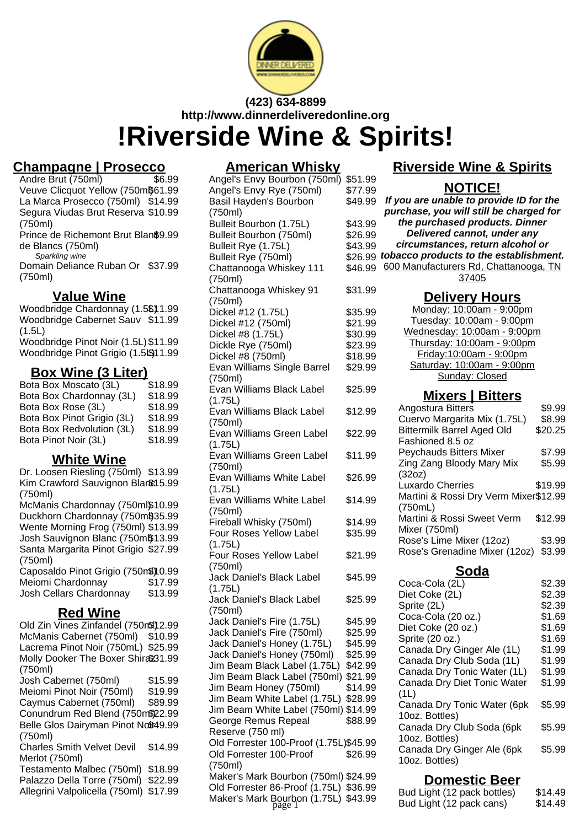

## **(423) 634-8899 http://www.dinnerdeliveredonline.org !Riverside Wine & Spirits!**

# **Champagne | Prosecco**

Andre Brut (750ml) Veuve Clicquot Yellow (750m\$61.99) La Marca Prosecco (750ml) \$14.99 Segura Viudas Brut Reserva \$10.99 (750ml) Prince de Richemont Brut Blan\$9.99 de Blancs (750ml) Sparkling wine

Domain Deliance Ruban Or \$37.99 (750ml)

### **Value Wine**

Woodbridge Chardonnay (1.5\$)1.99 Woodbridge Cabernet Sauv \$11.99 (1.5L) Woodbridge Pinot Noir (1.5L) \$11.99

Woodbridge Pinot Grigio (1.5L\$11.99

### **Box Wine (3 Liter)**

Bota Box Moscato (3L) \$18.99 Bota Box Chardonnay (3L) \$18.99 Bota Box Rose (3L) \$18.99<br>Bota Box Pinot Grigio (3L) \$18.99 Bota Box Pinot Grigio (3L) Bota Box Redvolution (3L) \$18.99 Bota Pinot Noir (3L) \$18.99

### **White Wine**

Dr. Loosen Riesling (750ml) \$13.99 Kim Crawford Sauvignon Blanc15.99 (750ml) McManis Chardonnay (750ml\$10.99 Duckhorn Chardonnay (750m\$35.99 Wente Morning Frog (750ml) \$13.99 Josh Sauvignon Blanc (750m\$13.99

Santa Margarita Pinot Grigio \$27.99 (750ml) Caposaldo Pinot Grigio (750m\$)10.99 Meiomi Chardonnay \$17.99 Josh Cellars Chardonnay \$13.99

## **Red Wine**

Old Zin Vines Zinfandel (750m\) 2.99 McManis Cabernet (750ml) \$10.99 Lacrema Pinot Noir (750mL) \$25.99 Molly Dooker The Boxer Shira\$31.99 (750ml) Josh Cabernet (750ml) \$15.99 Meiomi Pinot Noir (750ml) \$19.99 Caymus Cabernet (750ml) \$89.99 Conundrum Red Blend (750m\$22.99 Belle Glos Dairyman Pinot No\$49.99 (750ml) Charles Smith Velvet Devil Merlot (750ml) \$14.99 Testamento Malbec (750ml) \$18.99 Palazzo Della Torre (750ml) \$22.99 Allegrini Valpolicella (750ml) \$17.99

### **American Whisky**

Angel's Envy Bourbon (750ml) \$51.99 Angel's Envy Rye (750ml) \$77.99 Basil Hayden's Bourbon (750ml) \$49 Bulleit Bourbon (1.75L) \$43. Bulleit Bourbon (750ml) \$26 **Bulleit Rye (1.75L)** \$43 Bulleit Rye (750ml) \$26 Chattanooga Whiskey 111 (750ml) \$46. Chattanooga Whiskey 91 (750ml) \$31.99 Dickel #12 (1.75L) \$35.99 Dickel #12 (750ml) \$21.99 Dickel #8 (1.75L) \$30.99 Dickle Rye (750ml) \$23.99 Dickel #8 (750ml) \$18.99 Evan Williams Single Barrel (750ml) \$29.99 Evan Williams Black Label (1.75L) \$25.99 Evan Williams Black Label (750ml) \$12.99 Evan Williams Green Label (1.75L) \$22.99 Evan Williams Green Label (750ml) \$11.99 Evan Williams White Label (1.75L) \$26.99 Evan Williams White Label (750ml) \$14.99 Fireball Whisky (750ml) \$14.99 Four Roses Yellow Label (1.75L) \$35.99 Four Roses Yellow Label (750ml) \$21.99 Jack Daniel's Black Label (1.75L) \$45.99 Jack Daniel's Black Label (750ml) \$25.99 Jack Daniel's Fire (1.75L) \$45.99 Jack Daniel's Fire (750ml) \$25.99 Jack Daniel's Honey (1.75L) \$45.99 Jack Daniel's Honey (750ml) \$25.99 Jim Beam Black Label (1.75L) \$42.99 Jim Beam Black Label (750ml) \$21.99 Jim Beam Honey (750ml) \$14.99 Jim Beam White Label (1.75L) \$28.99 Jim Beam White Label (750ml) \$14.99 George Remus Repeal Reserve (750 ml) \$88.99 Old Forrester 100-Proof (1.75L)\$45.99 Old Forrester 100-Proof (750ml) \$26.99 Maker's Mark Bourbon (750ml) \$24.99 Old Forrester 86-Proof (1.75L) \$36.99

## **Riverside Wine & Spirits**

## **NOTICE!**

| .99 | If you are unable to provide ID for the    |
|-----|--------------------------------------------|
|     | purchase, you will still be charged for    |
| .99 | the purchased products. Dinner             |
| .99 | Delivered cannot, under any                |
| .99 | circumstances, return alcohol or           |
|     | .99 tobacco products to the establishment. |
|     | .99 600 Manufacturers Rd, Chattanooga, TN  |
|     | 37405                                      |

## **Delivery Hours**

| <b>PURTY LIGHT</b>          |
|-----------------------------|
| Monday: 10:00am - 9:00pm    |
| Tuesday: 10:00am - 9:00pm   |
| Wednesday: 10:00am - 9:00pm |
| Thursday: 10:00am - 9:00pm  |
| Friday: 10:00am - 9:00pm    |
| Saturday: 10:00am - 9:00pm  |
| Sunday: Closed              |
|                             |

### **Mixers | Bitters**

| Angostura Bitters                     | \$9.99  |
|---------------------------------------|---------|
| Cuervo Margarita Mix (1.75L)          | \$8.99  |
| <b>Bittermilk Barrel Aged Old</b>     | \$20.25 |
| Fashioned 8.5 oz                      |         |
| <b>Peychauds Bitters Mixer</b>        | \$7.99  |
| Zing Zang Bloody Mary Mix             | \$5.99  |
| (32oz)                                |         |
| Luxardo Cherries                      | \$19.99 |
| Martini & Rossi Dry Verm Mixer\$12.99 |         |
| (750mL)                               |         |
| Martini & Rossi Sweet Verm            | \$12.99 |
| Mixer (750ml)                         |         |
| Rose's Lime Mixer (12oz)              | \$3.99  |
| Rose's Grenadine Mixer (12oz)         | \$3.99  |
|                                       |         |

#### **Soda**

| Coca-Cola (2L)              | \$2.39 |
|-----------------------------|--------|
| Diet Coke (2L)              | \$2.39 |
| Sprite (2L)                 | \$2.39 |
| Coca-Cola (20 oz.)          | \$1.69 |
| Diet Coke (20 oz.)          | \$1.69 |
| Sprite (20 oz.)             | \$1.69 |
| Canada Dry Ginger Ale (1L)  | \$1.99 |
| Canada Dry Club Soda (1L)   | \$1.99 |
| Canada Dry Tonic Water (1L) | \$1.99 |
| Canada Dry Diet Tonic Water | \$1.99 |
| (1L)                        |        |
| Canada Dry Tonic Water (6pk | \$5.99 |
| 10oz. Bottles)              |        |
| Canada Dry Club Soda (6pk   | \$5.99 |
| 10oz. Bottles)              |        |
| Canada Dry Ginger Ale (6pk  | \$5.99 |
| 10oz. Bottles)              |        |
|                             |        |

### **Domestic Beer**

| Old Forrester 86-Proof (1.75L) \$36.99<br>Maker's Mark Bourbon (1.75L) \$43.99<br>page 1 | Bud Light (12 pack bottles)<br>Bud Light (12 pack cans) | \$14.49<br>\$14.49 |
|------------------------------------------------------------------------------------------|---------------------------------------------------------|--------------------|
|                                                                                          |                                                         |                    |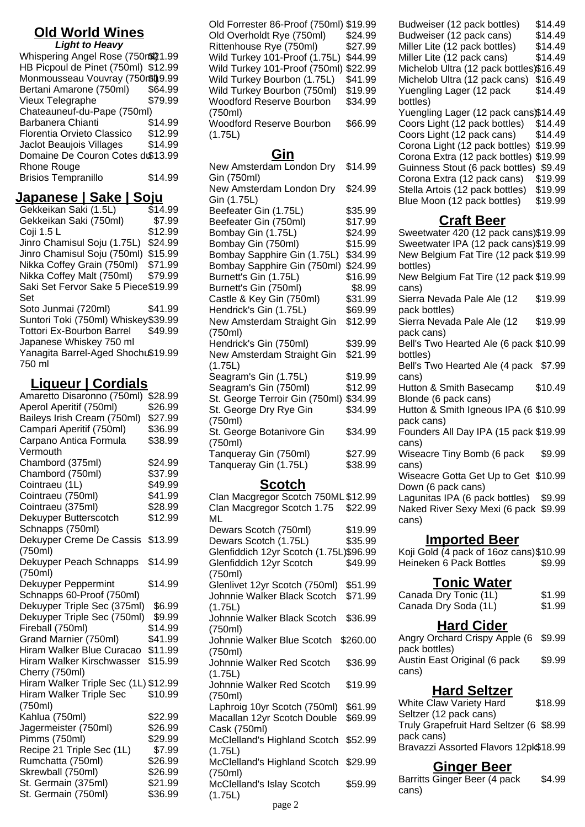#### **Old World Wines Light to Heavy**

| Light to Heavy                      |         |
|-------------------------------------|---------|
| Whispering Angel Rose (750r\$21.99  |         |
| HB Picpoul de Pinet (750ml) \$12.99 |         |
| Monmousseau Vouvray (750r\$l)9.99   |         |
| Bertani Amarone (750ml)             | \$64.99 |
| Vieux Telegraphe                    | \$79.99 |
| Chateauneuf-du-Pape (750ml)         |         |
| <b>Barbanera Chianti</b>            | \$14.99 |
| Florentia Orvieto Classico          | \$12.99 |
| Jaclot Beaujois Villages            | \$14.99 |
| Domaine De Couron Cotes d\$13.99    |         |
| Rhone Rouge                         |         |
| <b>Brisios Tempranillo</b>          | \$14.99 |
|                                     |         |

# **Japanese | Sake | Soju**

Gekkeikan Saki (1.5L) Gekkeikan Saki (750ml) \$7.99 Coii 1.5 L \$12.99 Jinro Chamisul Soju (1.75L) \$24.99 Jinro Chamisul Soju (750ml) \$15.99 Nikka Coffey Grain (750ml) \$71.99 Nikka Coffey Malt (750ml) \$79.99 Saki Set Fervor Sake 5 Piece \$19.99 Set Soto Junmai (720ml) \$41.99 Suntori Toki (750ml) Whiskey\$39.99 Tottori Ex-Bourbon Barrel Japanese Whiskey 750 ml \$49.99 Yanagita Barrel-Aged Shochu \$19.99 750 ml

## **Liqueur | Cordials**

| Amaretto Disaronno (750ml)           | \$28.99 |  |
|--------------------------------------|---------|--|
| Aperol Aperitif (750ml)              | \$26.99 |  |
| Baileys Irish Cream (750ml)          | \$27.99 |  |
| Campari Aperitif (750ml)             | \$36.99 |  |
| Carpano Antica Formula               | \$38.99 |  |
| Vermouth                             |         |  |
| Chambord (375ml)                     | \$24.99 |  |
| Chambord (750ml)                     | \$37.99 |  |
| Cointraeu (1L)                       | \$49.99 |  |
| Cointraeu (750ml)                    | \$41.99 |  |
| Cointraeu (375ml)                    | \$28.99 |  |
| Dekuyper Butterscotch                | \$12.99 |  |
| Schnapps (750ml)                     |         |  |
| Dekuyper Creme De Cassis             | \$13.99 |  |
| (750ml)                              |         |  |
| Dekuyper Peach Schnapps              | \$14.99 |  |
| (750ml)                              |         |  |
| Dekuyper Peppermint                  | \$14.99 |  |
| Schnapps 60-Proof (750ml)            |         |  |
| Dekuyper Triple Sec (375ml)          | \$6.99  |  |
| Dekuyper Triple Sec (750ml)          | \$9.99  |  |
| Fireball (750ml)                     | \$14.99 |  |
| Grand Marnier (750ml)                | \$41.99 |  |
| Hiram Walker Blue Curacao            | \$11.99 |  |
| Hiram Walker Kirschwasser            | \$15.99 |  |
| Cherry (750ml)                       |         |  |
| Hiram Walker Triple Sec (1L) \$12.99 |         |  |
| <b>Hiram Walker Triple Sec</b>       | \$10.99 |  |
| (750ml)                              |         |  |
| Kahlua (750ml)                       | \$22.99 |  |
| Jagermeister (750ml)                 | \$26.99 |  |
| Pimms (750ml)                        | \$29.99 |  |
| Recipe 21 Triple Sec (1L)            | \$7.99  |  |
| Rumchatta (750ml)                    | \$26.99 |  |
| Skrewball (750ml)                    | \$26.99 |  |
| St. Germain (375ml)                  | \$21.99 |  |
| St. Germain (750ml)                  | \$36.99 |  |
|                                      |         |  |

Old Forrester 86-Proof (750ml) \$19.99 Old Overholdt Rye (750ml) \$24.99 Rittenhouse Rye (750ml) \$27.99 Wild Turkey 101-Proof (1.75L) \$44.99 Wild Turkey 101-Proof (750ml) \$22.99 Wild Turkey Bourbon (1.75L) \$41.99 Wild Turkey Bourbon (750ml) \$19.99 Woodford Reserve Bourbon (750ml) \$34.99 Woodford Reserve Bourbon \$66.99

(1.75L)

### **Gin**

| New Amsterdam London Dry       | \$14.99 |
|--------------------------------|---------|
| Gin (750ml)                    |         |
| New Amsterdam London Dry       | \$24.99 |
| Gin (1.75L)                    |         |
| Beefeater Gin (1.75L)          | \$35.99 |
| Beefeater Gin (750ml)          | \$17.99 |
| Bombay Gin (1.75L)             | \$24.99 |
| Bombay Gin (750ml)             | \$15.99 |
| Bombay Sapphire Gin (1.75L)    | \$34.99 |
| Bombay Sapphire Gin (750ml)    | \$24.99 |
| Burnett's Gin (1.75L)          | \$16.99 |
| Burnett's Gin (750ml)          | \$8.99  |
| Castle & Key Gin (750ml)       | \$31.99 |
| Hendrick's Gin (1.75L)         | \$69.99 |
| New Amsterdam Straight Gin     | \$12.99 |
| (750ml)                        |         |
| Hendrick's Gin (750ml)         | \$39.99 |
| New Amsterdam Straight Gin     | \$21.99 |
| (1.75L)                        |         |
| Seagram's Gin (1.75L)          | \$19.99 |
| Seagram's Gin (750ml)          | \$12.99 |
| St. George Terroir Gin (750ml) | \$34.99 |
| St. George Dry Rye Gin         | \$34.99 |
| (750ml)                        |         |
| St. George Botanivore Gin      | \$34.99 |
| (750ml)                        |         |
| Tanqueray Gin (750ml)          | \$27.99 |
| Tanqueray Gin (1.75L)          | \$38.99 |

### **Scotch**

| <u> 2002 - 20</u>                      |          |
|----------------------------------------|----------|
| Clan Macgregor Scotch 750ML \$12.99    |          |
| Clan Macgregor Scotch 1.75             | \$22.99  |
| ML                                     |          |
| Dewars Scotch (750ml)                  | \$19.99  |
| Dewars Scotch (1.75L)                  | \$35.99  |
| Glenfiddich 12yr Scotch (1.75L)\$96.99 |          |
| Glenfiddich 12yr Scotch                | \$49.99  |
| (750ml)                                |          |
| Glenlivet 12yr Scotch (750ml)          | \$51.99  |
| Johnnie Walker Black Scotch            | \$71.99  |
| (1.75L)                                |          |
| Johnnie Walker Black Scotch            | \$36.99  |
| (750ml)                                |          |
| Johnnie Walker Blue Scotch             | \$260.00 |
| (750ml)                                |          |
| Johnnie Walker Red Scotch              | \$36.99  |
| (1.75L)                                |          |
| Johnnie Walker Red Scotch              | \$19.99  |
| (750ml)                                |          |
| Laphroig 10yr Scotch (750ml)           | \$61.99  |
| Macallan 12yr Scotch Double            | \$69.99  |
| Cask (750ml)                           |          |
| McClelland's Highland Scotch           | \$52.99  |
| (1.75L)                                |          |
| McClelland's Highland Scotch           | \$29.99  |
| (750ml)                                |          |
| McClelland's Islay Scotch              | \$59.99  |
| (1.75L)                                |          |

Budweiser (12 pack bottles) \$14.49 Budweiser (12 pack cans) \$14.49 Miller Lite (12 pack bottles) \$14.49 Miller Lite (12 pack cans) \$14.49 Michelob Ultra (12 pack bottles)\$16.49 Michelob Ultra (12 pack cans) \$16.49 Yuengling Lager (12 pack bottles) \$14.49 Yuengling Lager (12 pack cans)\$14.49 Coors Light (12 pack bottles) \$14.49 Coors Light (12 pack cans) \$14.49 Corona Light (12 pack bottles) \$19.99 Corona Extra (12 pack bottles) \$19.99 Guinness Stout (6 pack bottles) \$9.49 Corona Extra (12 pack cans) \$19.99 Stella Artois (12 pack bottles) \$19.99 Blue Moon (12 pack bottles) \$19.99

## **Craft Beer**

Sweetwater 420 (12 pack cans)\$19.99 Sweetwater IPA (12 pack cans)\$19.99 New Belgium Fat Tire (12 pack \$19.99 bottles) New Belgium Fat Tire (12 pack \$19.99 cans) Sierra Nevada Pale Ale (12 pack bottles) \$19.99 Sierra Nevada Pale Ale (12 pack cans) \$19.99 Bell's Two Hearted Ale (6 pack \$10.99 bottles) Bell's Two Hearted Ale (4 pack \$7.99 cans) Hutton & Smith Basecamp Blonde (6 pack cans) \$10.49 Hutton & Smith Igneous IPA (6 \$10.99 pack cans) Founders All Day IPA (15 pack \$19.99 cans) Wiseacre Tiny Bomb (6 pack cans) \$9.99 Wiseacre Gotta Get Up to Get \$10.99 Down (6 pack cans) Lagunitas IPA (6 pack bottles) \$9.99 Naked River Sexy Mexi (6 pack \$9.99 cans) **Imported Beer** Koji Gold (4 pack of 16oz cans)\$10.99 Heineken 6 Pack Bottles \$9.99 **Tonic Water**

| TUITIU YYALUI         |        |
|-----------------------|--------|
| Canada Dry Tonic (1L) | \$1.99 |
| Canada Dry Soda (1L)  | \$1.99 |

## **Hard Cider**

Angry Orchard Crispy Apple (6 \$9.99 pack bottles) Austin East Original (6 pack cans) \$9.99

### **Hard Seltzer**

White Claw Variety Hard Seltzer (12 pack cans) \$18.99 Truly Grapefruit Hard Seltzer (6 \$8.99 pack cans) Bravazzi Assorted Flavors 12pk\$18.99

## **Ginger Beer**

| Barritts Ginger Beer (4 pack | \$4.99 |
|------------------------------|--------|
| cans)                        |        |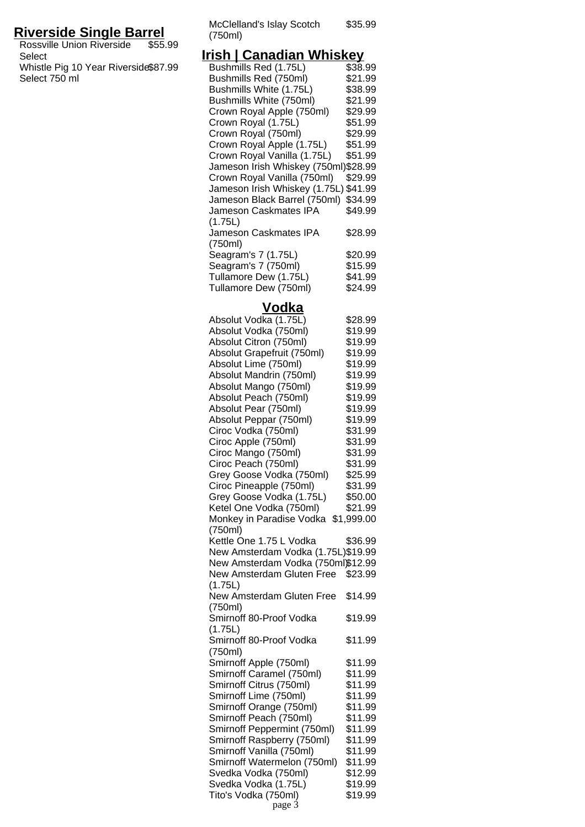## **Riverside Single Barrel**

Rossville Union Riverside Select \$55.99 Whistle Pig 10 Year Riverside Select 750 ml \$87.99

McClelland's Islay Scotch (750ml) \$35.99

### **Irish | Canadian Whiskey**

| Bushmills Red (1.75L)                                               | \$38.99            |
|---------------------------------------------------------------------|--------------------|
| Bushmills Red (750ml)                                               | \$21.99            |
| Bushmills White (1.75L)                                             | \$38.99            |
| Bushmills White (750ml)                                             | \$21.99            |
| Crown Royal Apple (750ml)                                           | \$29.99            |
| Crown Royal (1.75L)                                                 | \$51.99            |
| Crown Royal (750ml)                                                 | \$29.99            |
| Crown Royal Apple (1.75L)                                           | \$51.99            |
| Crown Royal Vanilla (1.75L)<br>Jameson Irish Whiskey (750ml)\$28.99 | \$51.99            |
| Crown Royal Vanilla (750ml)                                         | \$29.99            |
| Jameson Irish Whiskey (1.75L) \$41.99                               |                    |
| Jameson Black Barrel (750ml)                                        | \$34.99            |
| Jameson Caskmates IPA                                               | \$49.99            |
| (1.75L)                                                             |                    |
| Jameson Caskmates IPA                                               | \$28.99            |
| (750ml)                                                             |                    |
| Seagram's 7 (1.75L)                                                 | \$20.99            |
| Seagram's 7 (750ml)                                                 | \$15.99            |
| Tullamore Dew (1.75L)                                               | \$41.99            |
| Tullamore Dew (750ml)                                               | \$24.99            |
| Vodka                                                               |                    |
| Absolut Vodka (1.75L)                                               | \$28.99            |
| Absolut Vodka (750ml)                                               | \$19.99            |
| Absolut Citron (750ml)                                              | \$19.99            |
| Absolut Grapefruit (750ml)                                          | \$19.99            |
| Absolut Lime (750ml)                                                | \$19.99            |
| Absolut Mandrin (750ml)                                             | \$19.99            |
| Absolut Mango (750ml)                                               | \$19.99            |
| Absolut Peach (750ml)                                               | \$19.99            |
| Absolut Pear (750ml)                                                | \$19.99            |
| Absolut Peppar (750ml)                                              | \$19.99            |
| Ciroc Vodka (750ml)                                                 | \$31.99            |
| Ciroc Apple (750ml)                                                 | \$31.99            |
| Ciroc Mango (750ml)                                                 | \$31.99            |
| Ciroc Peach (750ml)<br>Grey Goose Vodka (750ml)                     | \$31.99<br>\$25.99 |
| Ciroc Pineapple (750ml)                                             | \$31.99            |
| Grey Goose Vodka (1.75L)                                            | \$50.00            |
| Ketel One Vodka (750ml)                                             | \$21.99            |
| Monkey in Paradise Vodka \$1,999.00                                 |                    |
| (750ml)                                                             |                    |
| Kettle One 1.75 L Vodka                                             | \$36.99            |
| New Amsterdam Vodka (1.75L)\$19.99                                  |                    |
| New Amsterdam Vodka (750ml)\$12.99                                  |                    |
| New Amsterdam Gluten Free \$23.99                                   |                    |
| (1.75L)                                                             |                    |
| New Amsterdam Gluten Free                                           | \$14.99            |
| (750ml)                                                             |                    |
| Smirnoff 80-Proof Vodka<br>(1.75L)                                  | \$19.99            |
| Smirnoff 80-Proof Vodka                                             | \$11.99            |
| (750ml)                                                             |                    |
| Smirnoff Apple (750ml)                                              | \$11.99            |
| Smirnoff Caramel (750ml)                                            | \$11.99            |
| Smirnoff Citrus (750ml)                                             | \$11.99            |
| Smirnoff Lime (750ml)                                               | \$11.99            |
| Smirnoff Orange (750ml)                                             | \$11.99            |
| Smirnoff Peach (750ml)                                              | \$11.99            |
| Smirnoff Peppermint (750ml)                                         | \$11.99            |
| Smirnoff Raspberry (750ml)                                          | \$11.99            |
| Smirnoff Vanilla (750ml)                                            | \$11.99            |
| Smirnoff Watermelon (750ml)                                         | \$11.99            |
| Svedka Vodka (750ml)                                                | \$12.99            |
| Svedka Vodka (1.75L)                                                | \$19.99            |
| Tito's Vodka (750ml)                                                | \$19.99            |

page 3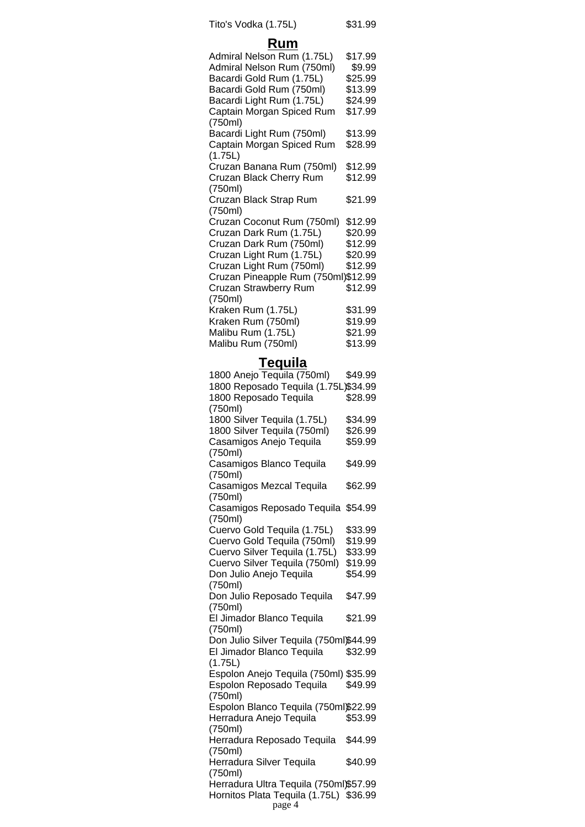Tito's Vodka (1.75L) \$31.99

## **Rum**

| Admiral Nelson Rum (1.75L)          | \$17.99 |
|-------------------------------------|---------|
| Admiral Nelson Rum (750ml)          | \$9.99  |
| Bacardi Gold Rum (1.75L)            | \$25.99 |
| Bacardi Gold Rum (750ml)            | \$13.99 |
| Bacardi Light Rum (1.75L)           | \$24.99 |
| Captain Morgan Spiced Rum           | \$17.99 |
| (750ml)                             |         |
| Bacardi Light Rum (750ml)           | \$13.99 |
| Captain Morgan Spiced Rum           | \$28.99 |
| (1.75L)                             |         |
| Cruzan Banana Rum (750ml)           | \$12.99 |
| Cruzan Black Cherry Rum             | \$12.99 |
| (750ml)                             |         |
| Cruzan Black Strap Rum              | \$21.99 |
| (750ml)                             |         |
| Cruzan Coconut Rum (750ml)          | \$12.99 |
| Cruzan Dark Rum (1.75L)             | \$20.99 |
| Cruzan Dark Rum (750ml)             | \$12.99 |
| Cruzan Light Rum (1.75L)            | \$20.99 |
| Cruzan Light Rum (750ml)            | \$12.99 |
| Cruzan Pineapple Rum (750ml)\$12.99 |         |
| Cruzan Strawberry Rum               | \$12.99 |
| (750ml)                             |         |
| Kraken Rum (1.75L)                  | \$31.99 |
| Kraken Rum (750ml)                  | \$19.99 |
| Malibu Rum (1.75L)                  | \$21.99 |
| Malibu Rum (750ml)                  | \$13.99 |
|                                     |         |

## **Tequila**

| 1800 Anejo Tequila (750ml)                       | \$49.99 |
|--------------------------------------------------|---------|
| 1800 Reposado Tequila (1.75L)\$34.99             |         |
| 1800 Reposado Tequila                            | \$28.99 |
| (750ml)                                          |         |
| 1800 Silver Tequila (1.75L)                      | \$34.99 |
| 1800 Silver Tequila (750ml)                      | \$26.99 |
| Casamigos Anejo Tequila                          | \$59.99 |
| (750ml)                                          |         |
| Casamigos Blanco Tequila                         | \$49.99 |
| (750ml)                                          |         |
| Casamigos Mezcal Tequila                         | \$62.99 |
| (750ml)                                          |         |
| Casamigos Reposado Tequila                       | \$54.99 |
| (750ml)                                          |         |
| Cuervo Gold Tequila (1.75L)                      | \$33.99 |
| Cuervo Gold Tequila (750ml)                      | \$19.99 |
| Cuervo Silver Tequila (1.75L)                    | \$33.99 |
| Cuervo Silver Tequila (750ml)                    | \$19.99 |
| Don Julio Anejo Tequila                          | \$54.99 |
| (750ml)                                          |         |
| Don Julio Reposado Tequila                       | \$47.99 |
| (750ml)                                          |         |
| El Jimador Blanco Tequila                        | \$21.99 |
| (750ml)                                          |         |
| Don Julio Silver Tequila (750ml)\$44.99          |         |
| El Jimador Blanco Tequila                        | \$32.99 |
| (1.75L)<br>Espolon Anejo Tequila (750ml) \$35.99 |         |
| Espolon Reposado Tequila                         | \$49.99 |
| (750ml)                                          |         |
| Espolon Blanco Tequila (750ml)\$22.99            |         |
| Herradura Anejo Tequila                          | \$53.99 |
| (750ml)                                          |         |
| Herradura Reposado Tequila                       | \$44.99 |
| (750ml)                                          |         |
| Herradura Silver Tequila                         | \$40.99 |
| (750ml)                                          |         |
| Herradura Ultra Tequila (750ml)\$57.99           |         |
| Hornitos Plata Tequila (1.75L) \$36.99           |         |
| page 4                                           |         |
|                                                  |         |